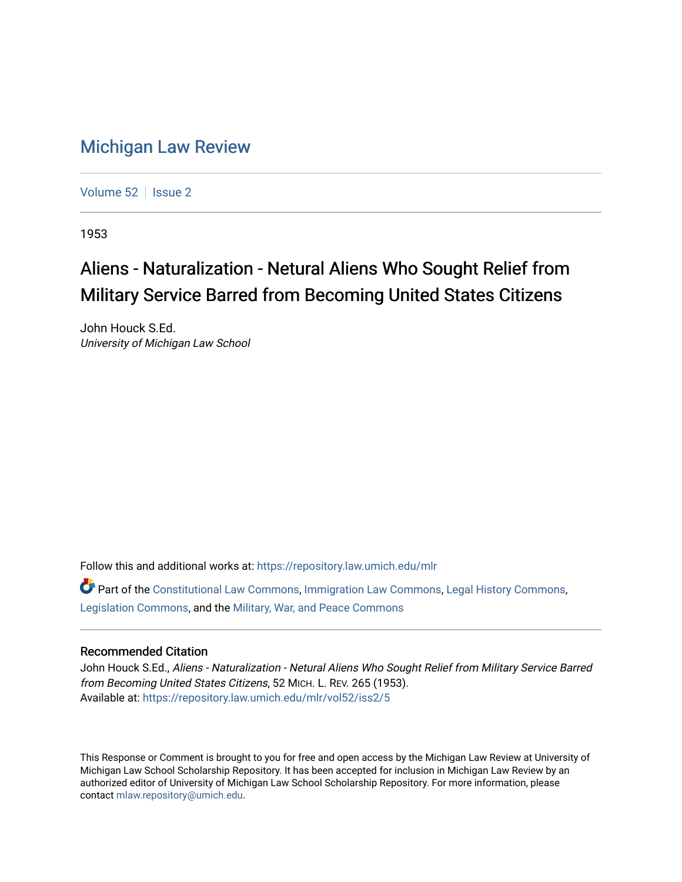### [Michigan Law Review](https://repository.law.umich.edu/mlr)

[Volume 52](https://repository.law.umich.edu/mlr/vol52) | [Issue 2](https://repository.law.umich.edu/mlr/vol52/iss2)

1953

## Aliens - Naturalization - Netural Aliens Who Sought Relief from Military Service Barred from Becoming United States Citizens

John Houck S.Ed. University of Michigan Law School

Follow this and additional works at: [https://repository.law.umich.edu/mlr](https://repository.law.umich.edu/mlr?utm_source=repository.law.umich.edu%2Fmlr%2Fvol52%2Fiss2%2F5&utm_medium=PDF&utm_campaign=PDFCoverPages) 

Part of the [Constitutional Law Commons,](http://network.bepress.com/hgg/discipline/589?utm_source=repository.law.umich.edu%2Fmlr%2Fvol52%2Fiss2%2F5&utm_medium=PDF&utm_campaign=PDFCoverPages) [Immigration Law Commons](http://network.bepress.com/hgg/discipline/604?utm_source=repository.law.umich.edu%2Fmlr%2Fvol52%2Fiss2%2F5&utm_medium=PDF&utm_campaign=PDFCoverPages), [Legal History Commons,](http://network.bepress.com/hgg/discipline/904?utm_source=repository.law.umich.edu%2Fmlr%2Fvol52%2Fiss2%2F5&utm_medium=PDF&utm_campaign=PDFCoverPages) [Legislation Commons](http://network.bepress.com/hgg/discipline/859?utm_source=repository.law.umich.edu%2Fmlr%2Fvol52%2Fiss2%2F5&utm_medium=PDF&utm_campaign=PDFCoverPages), and the [Military, War, and Peace Commons](http://network.bepress.com/hgg/discipline/861?utm_source=repository.law.umich.edu%2Fmlr%2Fvol52%2Fiss2%2F5&utm_medium=PDF&utm_campaign=PDFCoverPages) 

#### Recommended Citation

John Houck S.Ed., Aliens - Naturalization - Netural Aliens Who Sought Relief from Military Service Barred from Becoming United States Citizens, 52 MICH. L. REV. 265 (1953). Available at: [https://repository.law.umich.edu/mlr/vol52/iss2/5](https://repository.law.umich.edu/mlr/vol52/iss2/5?utm_source=repository.law.umich.edu%2Fmlr%2Fvol52%2Fiss2%2F5&utm_medium=PDF&utm_campaign=PDFCoverPages)

This Response or Comment is brought to you for free and open access by the Michigan Law Review at University of Michigan Law School Scholarship Repository. It has been accepted for inclusion in Michigan Law Review by an authorized editor of University of Michigan Law School Scholarship Repository. For more information, please contact [mlaw.repository@umich.edu](mailto:mlaw.repository@umich.edu).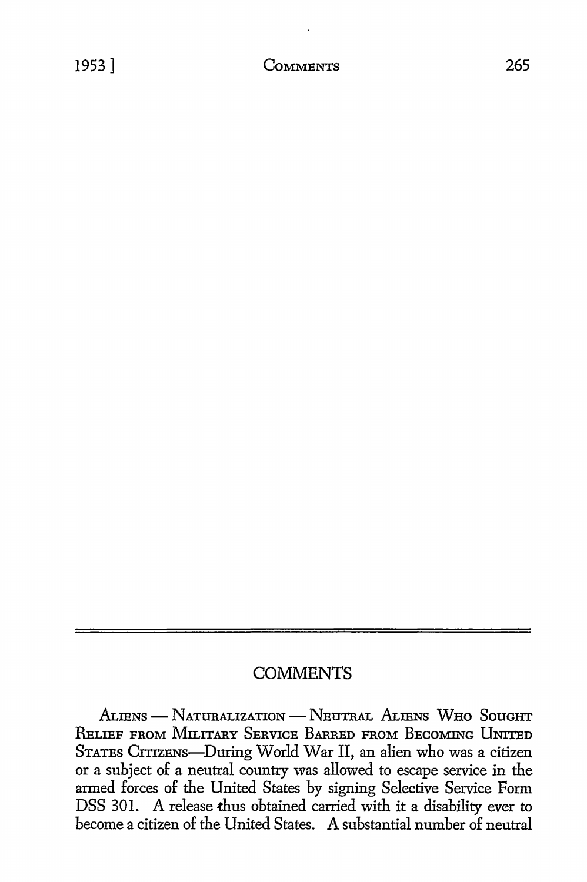#### **COMMENTS**

ALIENS - NATURALIZATION - NEUTRAL ALIENS WHO SOUGHT RELIEF FROM MILITARY SERVICE BARRED FROM BECOMING UNITED STATES CITIZENS-During World War II, an alien who was a citizen or a subject of a neutral country was allowed to escape service in the armed forces of the United States by signing Selective Service Form DSS 301. A release thus obtained carried with it a disability ever to become a citizen of the United States. A substantial number of neutral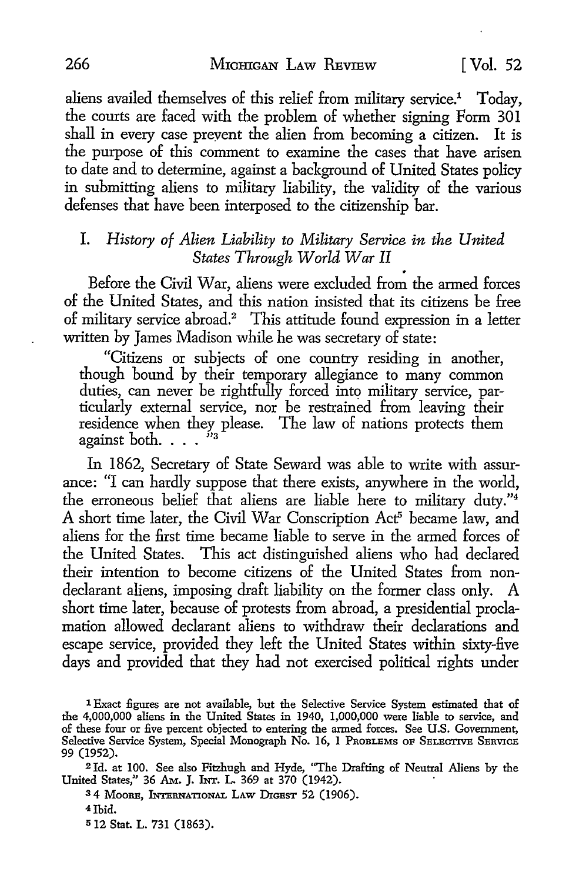aliens availed themselves of this relief from military service.<sup>1</sup> Today, the courts are faced with the problem of whether signing Form 301 shall in every case preyent the alien from becoming a citizen. It is the purpose of this comment to examine the cases that have arisen to date and to determine, against a background of United States policy in submitting aliens to military liability, the validity of the various defenses that have been interposed to the citizenship bar.

# I. *History of Alien Liability to Military Service in the United*

Before the Civil War, aliens were excluded from the armed forces of the United States, and this nation insisted that its citizens be free of military service abroad.<sup>2</sup> This attitude found expression in a letter written by James Madison while he was secretary of state:

"Citizens or subjects of one country residing in another, though bound by their temporary allegiance to many common duties, can never be rightfully forced into military service, particularly external service, nor be restrained from leaving their residence when they please. The law of nations protects them against both.  $\dots$   $\cdot$   $\cdot$ 

In 1862, Secretary of State Seward was able to write with assurance: "I can hardly suppose that there exists, anywhere in the world, the erroneous belief that aliens are liable here to military duty."<sup>4</sup> A short time later, the Civil War Conscription Act<sup>5</sup> became law, and aliens for the first time became liable to serve in the armed forces of the United States. This act distinguished aliens who had declared their intention to become citizens of the United States from nondeclarant aliens, imposing draft liability on the former class only. A short time later, because of protests from abroad, a presidential proclamation allowed declarant aliens to withdraw their declarations and escape service, provided they left the United States within sixty-five days and provided that they had not exercised political rights under

3 4 MooRE, INTERNATIONAL LAW DIGEST 52 (1906).

4 Ibid.

5 12 Stat. L. 731 (1863).

<sup>1</sup> Exact figures are not available, but the Selective Service System estimated that of the 4,000,000 aliens in the United States in 1940, 1,000,000 were liable to service, and of these four or five percent objected to entering the armed forces. See U.S. Government, Selective Service System, Special Monograph No. 16, 1 PROBLEMS OF SELECTIVE SERVICE 99 (1952).

<sup>2</sup>Id. at 100. See also Fitzhugh and Hyde, "The Drafting of Neutral Aliens by the United States," 36 Am. J. INT. L. 369 at 370 (1942).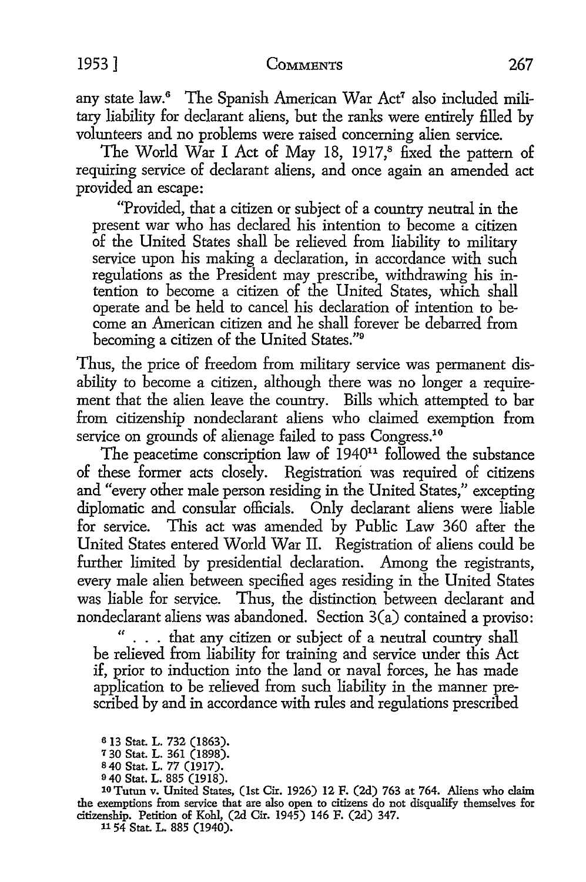any state law.6 The Spanish American War Act7 also included military liability for declarant aliens, but the ranks were entirely filled by volunteers and no problems were raised concerning alien service.

The World War I Act of May 18, 1917,<sup>8</sup> fixed the pattern of requiring service of declarant aliens, and once again an amended act provided an escape:

"Provided, that a citizen or subject of a country neutral in the present war who has declared his intention to become a citizen of the United States shall be relieved from liability to military service upon his making a declaration, in accordance with such regulations as the President may prescribe, withdrawing his intention to become a citizen of the United States, which shall operate and be held to cancel his declaration of intention to become an American citizen and he shall forever be debarred from becoming a citizen of the United States."<sup>9</sup>

Thus, the price of freedom from military service was permanent disability to become a citizen, although there was no longer a requirement that the alien leave the country. Bills which attempted to bar from citizenship nondeclarant aliens who claimed exemption from service on grounds of alienage failed to pass Congress.<sup>10</sup>

The peacetime conscription law of  $1940<sup>11</sup>$  followed the substance of these former acts closely. Registration was required of citizens and "every other male person residing in the United States," excepting diplomatic and consular officials. Only declarant aliens were liable for service. This act was amended by Public Law 360 after the United States entered World War II. Registration of aliens could be further limited by presidential declaration. Among the registrants, every male alien between specified ages residing in the United States was liable for service. Thus, the distinction between declarant and nondeclarant aliens was abandoned. Section 3(a) contained a proviso:

" . . . that any citizen or subject of a neutral country shall be relieved from liability for training and service under this Act if, prior to induction into the land or naval forces, he has made application to be relieved from such liability in the manner prescribed by and in accordance with rules and regulations prescribed

10 Tutun v. United States, (1st Cir. 1926) 12 F. (2d) 763 at 764. Aliens who claim the exemptions from service that are also open to citizens do not disqualify themselves for citizenship. Petition of Kohl, (2d Cir. 1945) 146 F. (2d) 347.

11 54 Stat. L. 885 (1940).

<sup>6</sup>13 Stat. L. 732 (1863).

<sup>7</sup>30 Stat. L. 361 (1898).

s40 Stat. L. 77 (1917).

<sup>9</sup> 40 Stat. L. 885 (1918).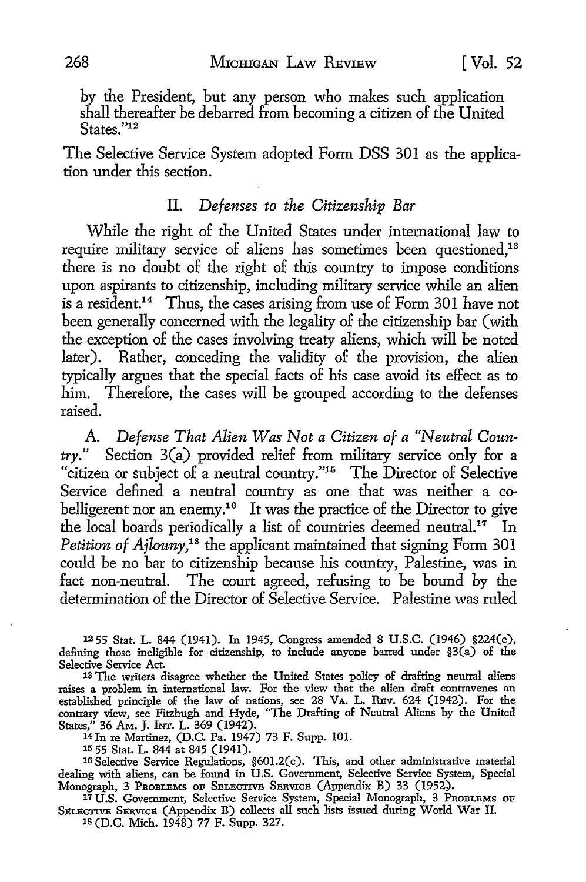by the President, but any person who makes such application shall thereafter be debarred from becoming a citizen of the United States."<sup>12</sup>

The Selective Service System adopted Form DSS 301 as the application under this section.

#### II. Defenses to the Citizenship Bar

While the right of the United States under international law to require military service of aliens has sometimes been questioned,<sup>13</sup> there is no doubt of the right of this country to impose conditions upon aspirants to citizenship, including military service while an alien is a resident.14 Thus, the cases arising from use of Form 301 have not been generally concerned with the legality of the citizenship bar ( with the exception of the cases involving treaty aliens, which will be noted later). Rather, conceding the validity of the provision, the alien typically argues that the special facts of his case avoid its effect as to him. Therefore, the cases will be grouped according to the defenses raised.

A. *Defense That Alien Was Not a Citizen of a "Neutral Country."* Section 3(a) provided relief from military service only for a "citizen or subject of a neutral country."<sup>15</sup> The Director of Selective Service defined a neutral country as one that was neither a cobelligerent nor an enemy.<sup>16</sup> It was the practice of the Director to give the local boards periodically a list of countries deemed neutral.17 In Petition of Ajlouny,<sup>18</sup> the applicant maintained that signing Form 301 could be no bar to citizenship because his country, Palestine, was in fact non-neutral. The court agreed, refusing to be bound by the determination of the Director of Selective Service. Palestine was ruled

12 55 Stat. L. 844 (1941). In 1945, Congress amended 8 U.S.C. (1946) §224(c), defining those ineligible for citizenship, to include anyone barred under §3(a) of the Selective Service Act. 13 The writers disagree whether the United States policy of drafting neutral aliens

raises a problem in international law. For the view that the alien draft contravenes an established principle of the law of nations, see 28 VA. L. REv. 624 (1942). For the contrary view, see Fitzhugh and Hyde, "The Drafting of Neutral Aliens by the United States,'' 36 AM. J. INT. L. 369 (1942). 14 In re Martinez, (D.C. Pa. 1947) 73 F. Supp. 101.

<sup>15</sup> 55 Stat. L. 844 at 845 (1941).<br><sup>16</sup> Selective Service Regulations, §601.2(c). This, and other administrative material dealing with aliens, can be found in U.S. Government, Selective Service System, Special Monograph, 3 PROBLEMS OF SELECTIVE SERVICE (Appendix B) 33 (1952). 17 U.S. Government, Selective Service System, Special Monograph, 3 PROBLEMS OF

SELECTIVE SERVICE (Appendix B) collects all such lists issued during World War II.

1s (D.C. Mich. 1948) 77 F. Supp. 327.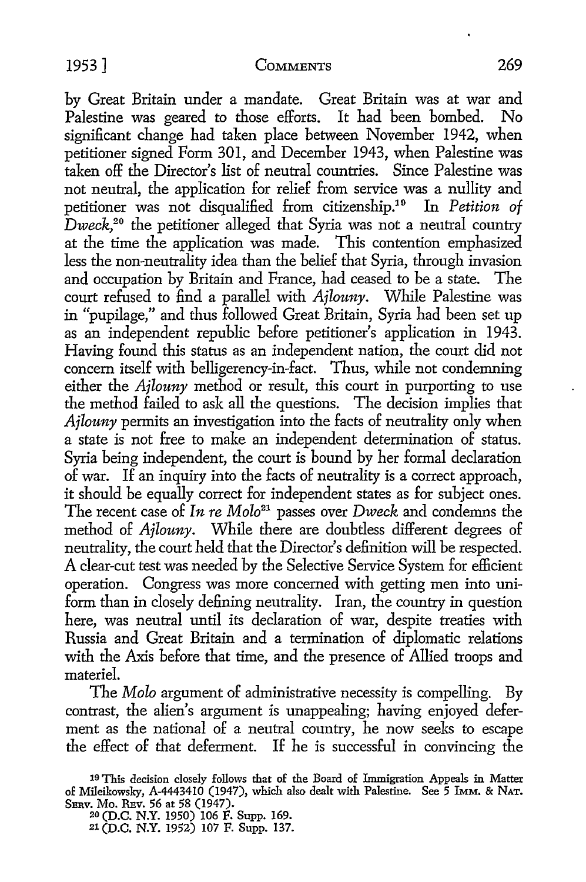by Great Britain under a mandate. Great Britain was at war and Palestine was geared to those efforts. It had been bombed. No significant change had taken place between November 1942, when petitioner signed Form 301, and December 1943, when Palestine was taken off the Director's list of neutral countries. Since Palestine was not neutral, the application for relief from service was a nullity and petitioner was not disqualified from citizenship.19 In *Petition of Dweck,20* the petitioner alleged that Syria was not a neutral country at the time the application was made. This contention emphasized less the non-neutrality idea than the belief that Syria, through invasion and occupation by Britain and France, had ceased to be a state. The court refused to find a parallel with *Ajlouny.* While Palestine was in "pupilage," and thus followed Great Britain, Syria had been set up as an independent republic before petitioner's application in 1943. Having found this status as an independent nation, the court did not concern itself with belligerency-in-fact. Thus, while not condemning either the *Ajlouny* method or result, this court in purporting to use the method failed to ask all the questions. The decision implies that *Ajlouny* permits an investigation into the facts of neutrality only when a state is not free to make an independent determination of status. Syria being independent, the court is bound by her formal declaration of war. If an inquiry into the facts of neutrality is a correct approach, it should be equally correct for independent states as for subject ones. The recent case of *In re Molo21* passes over *Dweck* and condemns the method of *Ajlouny.* While there are doubtless different degrees of neutrality, the court held that the Director's definition will be respected. A clear-cut test was needed by the Selective Service System for efficient operation. Congress was more concerned with getting men into uniform than in closely defining neutrality. Iran, the country in question here, was neutral until its declaration of war, despite treaties with Russia and Great Britain and a termination of diplomatic relations with the Axis before that time, and the presence of Allied troops and materiel.

The *Molo* argument of administrative necessity is compelling. By contrast, the alien's argument is unappealing; having enjoyed deferment as the national of a neutral country, he now seeks to escape the effect of that deferment. If he is successful in convincing the

20 (D.C. N.Y. 1950) 106 F. Supp. 169. 21 (D.C. N.Y. 1952) 107 F. Supp. 137.

<sup>19</sup> This decision closely follows that of the Board of Immigration Appeals in Matter of Mileikowsky, A-4443410 (1947), which also dealt with Palestine. See 5 IMM. & NAT. SERV. Mo. REv. 56 at 58 (1947).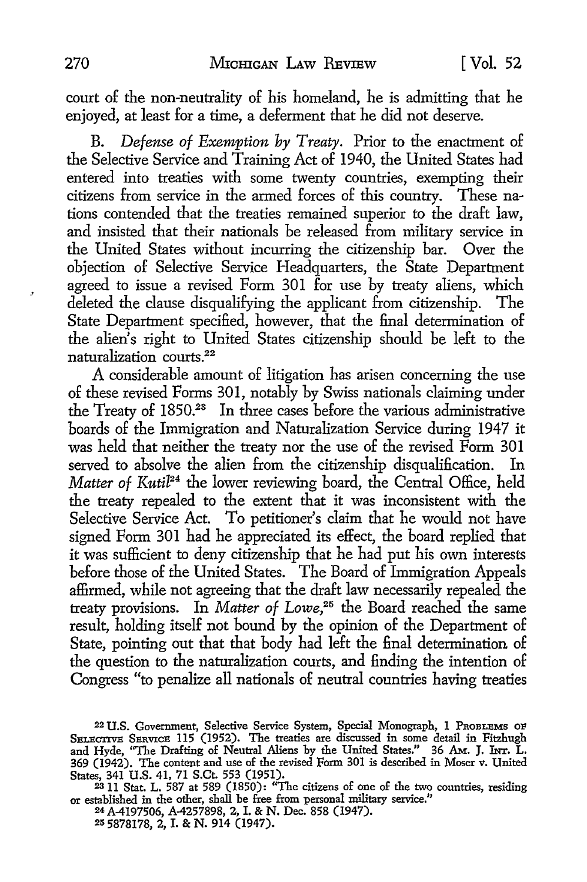court of the non-neutrality of his homeland, he is admitting that he enjoyed, at least for a time, a deferment that he did not deserve.

B. *Defense of Exemption by Treaty.* Prior to the enactment of the Selective Service and Training Act of 1940, the United States had entered into treaties with some twenty countries, exempting their citizens from service in the armed forces of this country. These nations contended that the treaties remained superior to the draft law. and insisted that their nationals be released from military service in the United States without incurring the citizenship bar. Over the objection of Selective Service Headquarters, the State Department agreed to issue a revised Form 301 for use by treaty aliens, which deleted the clause disqualifying the applicant from citizenship. The State Department specified, however, that the final determination of the alien's right to United States citizenship should be left to the naturalization courts.<sup>22</sup>

A considerable amount of litigation has arisen concerning the use of these revised Forms 301, notably by Swiss nationals claiming under the Treaty of 1850.23 In three cases before the various administrative boards of the Immigration and Naturalization Service during 1947 it was held that neither the treaty nor the use of the revised Form 301 served to absolve the alien from the citizenship disqualification. In *Matter of Kutil<sup>24</sup>* the lower reviewing board, the Central Office, held the treaty repealed to the extent that it was inconsistent with the Selective Service Act. To petitioner's claim that he would not have signed Form 301 had he appreciated its effect, the board replied that it was sufficient to deny citizenship that he had put his own interests before those of the United States. The Board of Immigration Appeals affirmed, while not agreeing that the draft law necessarily repealed the treaty provisions. In *Matter of Lowe*,<sup>25</sup> the Board reached the same result, holding itself not bound by the opinion of the Department of State, pointing out that that body had left the final determination of the question to the naturalization courts, and finding the intention of Congress "to penalize all nationals of neutral countries having treaties

24A-4197506, A-4257898, 2, I. & N. Dec. 858 (1947). 2s 5878178, 2, I. & N. 914 (1947).

 $\cdot$ 

<sup>22</sup>U.S. Government, Selective Service System, Special Monograph, 1 PROBLEMS OF SELECTIVE SERVICE 115 (1952). The treaties are discussed in some detail in Fitzhugh and Hyde, "The Drafting of Neutral Aliens by the United States." 36 Am. J. INT. L. 369 (1942). The content and use of the revised Form 301 is described in Moser v. United States, 341 U.S. 41, 71 S.Ct. 553 (1951).

<sup>2311</sup> Stat. L. 587 at 589 (1850): "The citizens of one of the two countries, residing or established in the other, shall be free from personal military service."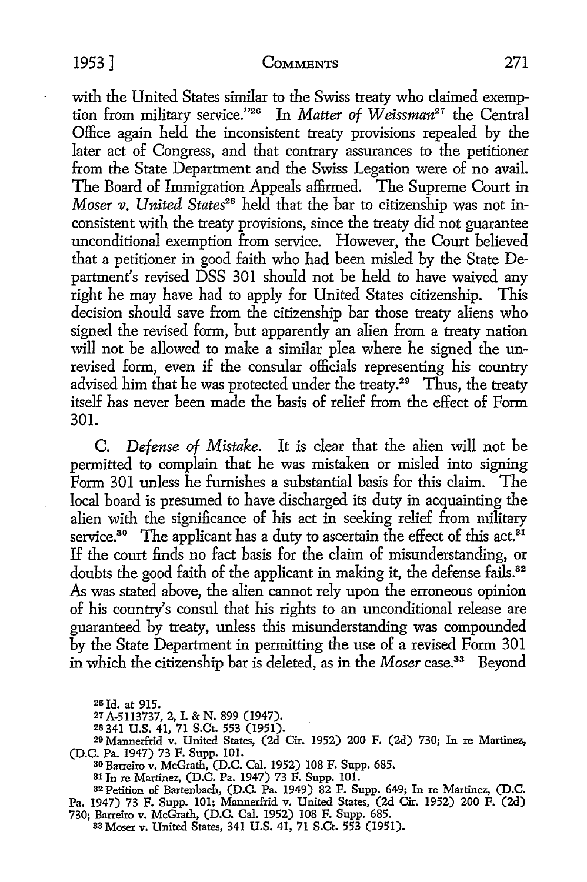#### 1953] COMMENTS 271

with the United States similar to the Swiss treaty who claimed exemption from military service."26 In *Matter of W eissman21* the Central Office again held the inconsistent treaty provisions repealed by the later act of Congress, and that contrary assurances to the petitioner from the State Department and the Swiss Legation were of no avail. The Board of Immigration Appeals affirmed. The Supreme Court in *Moser v. United States*<sup>28</sup> held that the bar to citizenship was not inconsistent with the treaty provisions, since the treaty did not guarantee unconditional exemption from service. However, the Court believed that a petitioner in good faith who had been misled by the State Department's revised DSS 301 should not be held to have waived any right he may have had to apply for United States citizenship. This decision should save from the citizenship bar those treaty aliens who signed the revised form, but apparently an alien from a treaty nation will not be allowed to make a similar plea where he signed the unrevised form, even if the consular officials representing his country advised him that he was protected under the treaty.<sup>29</sup> Thus, the treaty itself has never been made the basis of relief from the effect of Form 301.

C. *Defense of Mistake.* It is clear that the alien will not be permitted to complain that he was mistaken or misled into signing Form 301 unless he furnishes a substantial basis for this claim. The local board is presumed to have discharged its duty in acquainting the alien with the significance of his act in seeking relief from military service.<sup>30</sup> The applicant has a duty to ascertain the effect of this act.<sup>31</sup> If the court finds no fact basis for the claim of misunderstanding, or doubts the good faith of the applicant in making it, the defense fails.<sup>32</sup> As was stated above, the alien cannot rely upon the erroneous opinion of his country's consul that his rights to an unconditional release are guaranteed by treaty, unless this misunderstanding was compounded by the State Department in permitting the use of a revised Form 301 in which the citizenship bar is deleted, as in the *Moser* case.33 Beyond

20 Id. at 915.

- *21* A-5113737, 2, I. & N. 899 (1947).
- 2s 341 U.S. 41, 71 S.Ct. 553 (1951).

<sup>31</sup>In re Martinez, (D.C. Pa. 1947) 73 F. Supp. 101.

32 Petition of Bartenbach, (D.C. Pa. 1949) 82 F. Supp. 649; In re Martinez, (D.C. Pa. 1947) 73 F. Supp. 101; Mannerfrid v. United States, (2d Cir. 1952) 200 F. (2d)

730; Barreiro v. McGrath, (D.C. Cal. 1952) 108 F. Supp. 685.<br>88 Moser v. United States, 341 U.S. 41, 71 S.Ct. 553 (1951).

<sup>29</sup> Mannerfrid v. United States, (2d Cir. 1952) 200 F. (2d) 730; In re Martinez, (D.C. Pa. 1947) 73 F. Supp. 101.

<sup>30</sup> Barreiro v. McGrath, (D.C. Cal. 1952) 108 F. Supp. 685.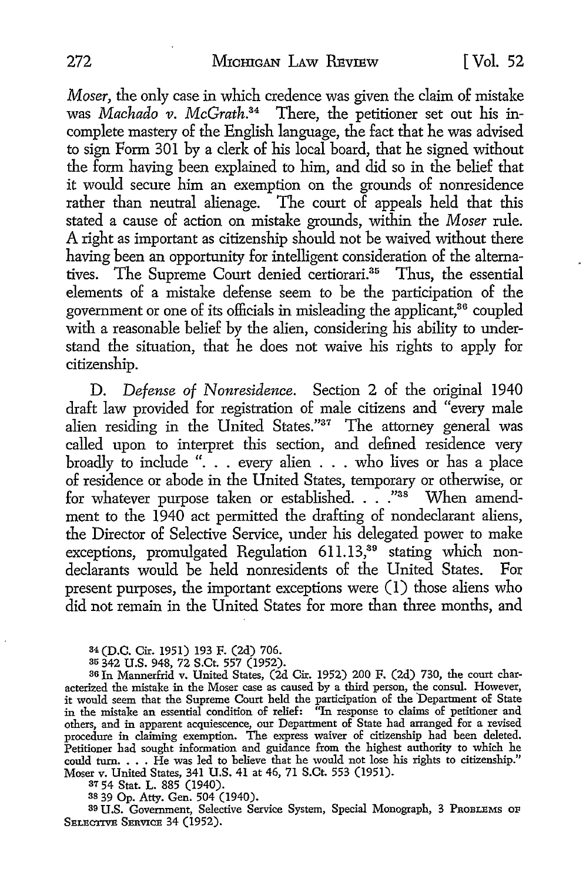*Moser,* the only case in which credence was given the claim of mistake was *Machado v. McGrath.*34 There, the petitioner set out his incomplete mastery of the English language, the fact that he was advised to sign Form 301 by a clerk of his local board, that he signed without the form having been explained to him, and did so in the belief that it would secure him an exemption on the grounds of nonresidence rather than neutral alienage. The court of appeals held that this stated a cause of action on mistake grounds, within the *Moser* rule. A right as important as citizenship should not be waived without there having been an opportunity for intelligent consideration of the alternatives. The Supreme Court denied certiorari.<sup>35</sup> Thus, the essential elements of a mistake defense seem to be the participation of the government or one of its officials in misleading the applicant,<sup>36</sup> coupled with a reasonable belief by the alien, considering his ability to understand the situation, that he does not waive his rights to apply for citizenship.

D. *Defense of Nonresidence.* Section 2 of the original 1940 draft law provided for registration of male citizens and "every male alien residing in the United States."<sup>37</sup> The attorney general was called upon to interpret this section, and defined residence very broadly to include "... every alien ... who lives or has a place of residence or abode in the United States, temporary or otherwise, or for whatever purpose taken or established. . . ."<sup>38</sup> When amendment to the 1940 act permitted the drafting of nondeclarant aliens, the Director of Selective Service, under his delegated power to make exceptions, promulgated Regulation 611.13,<sup>39</sup> stating which nondeclarants would be held nonresidents of the United States. For present purposes, the important exceptions were  $(1)$  those aliens who did not remain in the United States for more than three months, and

34 (D.C. Cir. 1951) 193 F. (2d) 706.

35 342 U.S. 948, 72 S.Ct. 557 (1952). 36 In Mannerfrid v. United States, (2d Cir. 1952) 200 F. (2d) 730, the court characterized the mistake in the Moser case as caused by a third person, the consul. However, it would seem that the Supreme Court held the participation of the 'Department of State in the mistake an essential condition of relief: ''In response to claims of petitioner and others, and in apparent acquiescence, our Department of State had arranged for a revised procedure in claiming exemption. The express waiver of citizenship had been deleted. Petitioner had sought information and guidance from the highest authority to which he could turn. . • • He was led to believe that he would not lose his rights to citizenship." Moser v. United States, 341 U.S. 41 at 46, 71 S.Ct. 553 (1951).

<sup>37</sup>54 Stat. L. 885 (1940).

38 39 Op. Atty. Gen. 504 (1940).

39 U.S. Government, Selective Service System, Special Monograph, 3 PROBLEMS OF SELECTIVE SERVICE 34 (1952).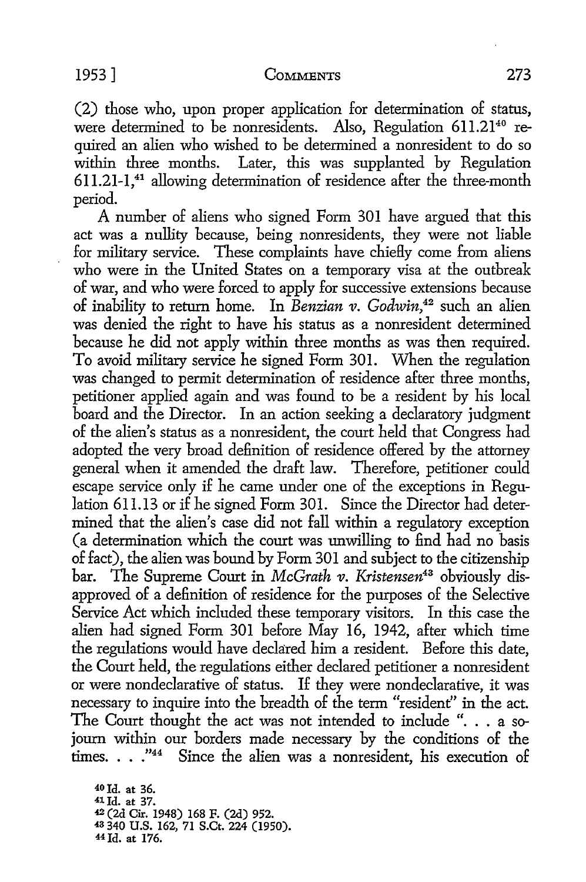#### 1953] COMMENTS 273

(2) those who, upon proper application for determination of status, were determined to be nonresidents. Also, Regulation 611.21<sup>40</sup> re-

quired an alien who wished to be determined a nonresident to do so within three months. Later, this was supplanted by Regulation 611.21-1,41 allowing determination of residence after the three-month period.

A number of aliens who signed Form 301 have argued that this act was a nullity because, being nonresidents, they were not liable for military service. These complaints have chiefly come from aliens who were in the United States on a temporary visa at the outbreak of war, and who were forced to apply for successive extensions because of inability to return home. In *Benzian v. Godwin,42* such an alien was denied the right to have his status as a nonresident determined because he did not apply within three months as was then required. To avoid military service he signed Form 301. When the regulation was changed to permit determination of residence after three months, petitioner applied again and was found to be a resident by his local board and the Director. In an action seeking a declaratory judgment of the alien's status as a nonresident, the court held that Congress had adopted the very broad definition of residence offered by the attorney general when it amended the draft law. Therefore, petitioner could escape service only if he came under one of the exceptions in Regulation 611.13 or if he signed Form 301. Since the Director had determined that the alien's case did not fall within a regulatory exception (a determination which the court was unwilling to find had no basis of fact), the alien was bound by Form 301 and subject to the citizenship bar. The Supreme Court in *McGrath v. Kristensen43* obviously disapproved of a definition of residence for the purposes of the Selective Service Act which included these temporary visitors. In this case the alien had signed Form 301 before May 16, 1942, after which time the regulations would have declared him a resident. Before this date, the Court held, the regulations either declared petitioner a nonresident or were nondeclarative of status. If they were nondeclarative, it was necessary to inquire into the breadth of the term "resident" in the act. The Court thought the act was not intended to include ". . . a sojourn within our borders made necessary by the conditions of the times.  $\ldots$ ."<sup>44</sup> Since the alien was a nonresident, his execution of

40Jd. at 36. 1Id. at 37. (2d Cir. 1948) 168 F. (2d) 952. 340 U.S. 162, 71 S.Ct. 224 (1950). 44 Id. at 176.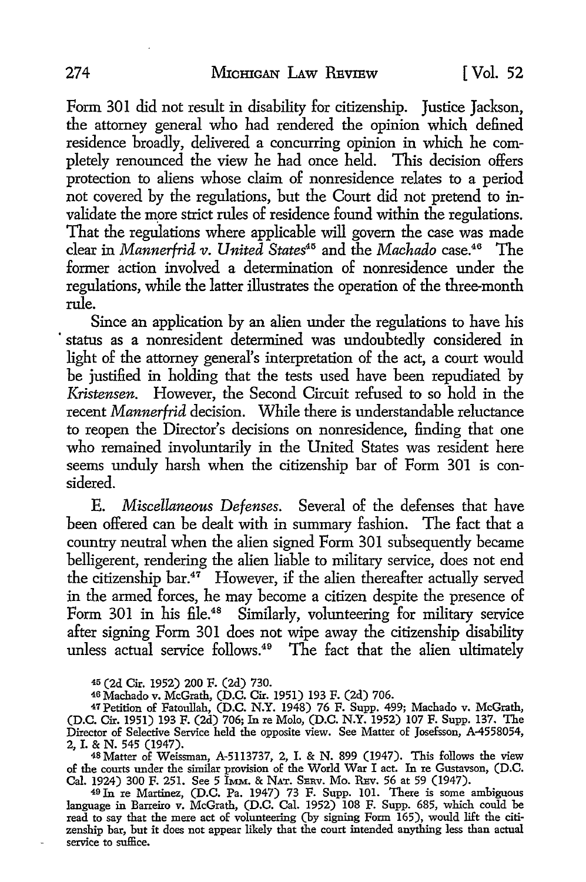Form 301 did not result in disability for citizenship. Justice Jackson, the attorney general who had rendered the opinion which defined residence broadly, delivered a concurring opinion in which he completely renounced the view he had once held. This decision offers protection to aliens whose claim of nonresidence relates to a period not covered by the regulations, but the Court did not pretend to invalidate the more strict rules of residence found within the regulations. That the regulations where applicable will govern the case was made clear in *Mannerfrid v. United* States<sup>45</sup> and the *Machado* case.<sup>46</sup> The former action involved a determination of nonresidence under the regulations, while the latter illustrates the operation of the three-month rule.

Since an application by an alien under the regulations to have his status as a nonresident determined was undoubtedly considered in light of the attorney general's interpretation of the act, a court would be justified in holding that the tests used have been repudiated by *Kristensen.* However, the Second Circuit refused to so hold in the recent *Mannerfrid* decision. While there is understandable reluctance to reopen the Director's decisions on nonresidence, finding that one who remained involuntarily in the United States was resident here seems unduly harsh when the citizenship bar of Form 301 is considered.

E. *Miscellaneous Defenses.* Several of the defenses that have been offered can be dealt with in summary fashion. The fact that a country neutral when the alien signed Form 301 subsequently became belligerent, rendering the alien liable to military service, does not end the citizenship bar.47 However, if the alien thereafter actually served in the armed forces, he may become a citizen despite the presence of Form 301 in his file.<sup>48</sup> Similarly, volunteering for military service after signing Form 301 does not wipe away the citizenship disability unless actual service follows.<sup>49</sup> The fact that the alien ultimately

<sup>45</sup>(2d Cir. 1952) 200 F. (2d) 730.

46 Machado v. McGrath, (D.C. Cir. 1951) 193 F. (2d) 706.

47 Petition of Fatoullah, (D.C. N.Y. 1948) 76 F. Supp. 499; Machado v. McGrath, (D.C. Cir. 1951) 193 F. (2d) 706; In re Molo, (D.C. N.Y. 1952) 107 F. Supp. 137. The Director of Selective Service held the opposite view. See Matter of Josefsson, A-4558054, 2, I. & N. 545 (1947).

<sup>48</sup>Matter of Weissman, A-5113737, 2, I. & N. 899 (1947). This follows the view of the courts under the similar provision of the World War I act. In re Gustavson, (D.C. Cal. 1924) 300 F. 251. See 5 IMM. & NAT. SEav. Mo. REv. 56 at 59 (1947).

49 In re Martinez, (D.C. Pa. 1947) 73 F. Supp. 101. There is some ambiguous language in Barreiro v. McGrath, (D.C. Cal. 1952) 108 F. Supp. 685, which could be read to say that the mere act of volunteering (by signing Form 165), would lift the citizenship bar, but it does not appear likely that the court intended anything less than actual service to suffice.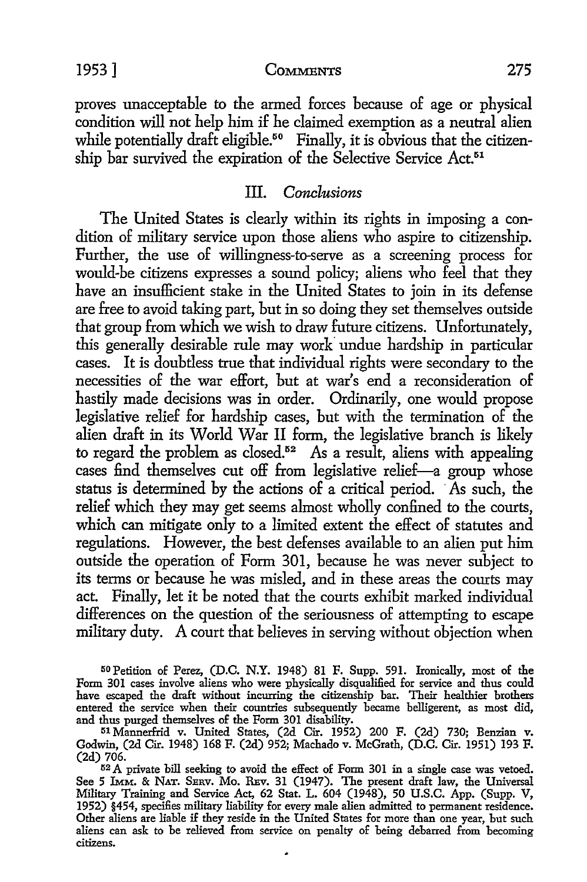#### 1953] COMMENTS 275

proves unacceptable to the armed forces because of age or physical condition will not help him if he claimed exemption as a neutral alien while potentially draft eligible.<sup>50</sup> Finally, it is obvious that the citizenship bar survived the expiration of the Selective Service Act.<sup>51</sup>

#### III. *Conclusions*

The United States is clearly within its rights in imposing a condition of military service upon those aliens who aspire to citizenship. Further, the use of willingness-to-serve as a screening process for would-be citizens expresses a sound policy; aliens who feel that they have an insufficient stake in the United States to join in its defense are free to avoid taking part, but in so doing they set themselves outside that group from which we wish to draw future citizens. Unfortunately, this generally desirable rule may work undue hardship in particular cases. It is doubtless true that individual rights were secondary to the necessities of the war effort, but at war's end a reconsideration of hastily made decisions was in order. Ordinarily, one would propose legislative relief for hardship cases, but with the termination of the alien draft in its World War II form, the legislative branch is likely to regard the problem as closed.<sup>52</sup> As a result, aliens with appealing cases find themselves cut off from legislative relief-a group whose status is determined by the actions of a critical period. As such, the relief which they may get seems almost wholly confined to the courts, which can mitigate only to a limited extent the effect of statutes and regulations. However, the best defenses available to an alien put him outside the operation of Form 301, because he was never subject to its terms or because he was misled, and in these areas the courts may act. Finally, let it be noted that the courts exhibit marked individual differences on the question of the seriousness of attempting to escape military duty. A court that believes in serving without objection when

<sup>50</sup>Petition of Perez, (D.C. N.Y. 1948) 81 F. Supp. 591. Ironically, most of the Form 301 cases involve aliens who were physically disqualified for service and thus could have escaped the draft without incurring the citizenship bar. Their healthier brothers entered the service when their countries subsequently became belligerent, as most did, and thus purged themselves of the Form 301 disability.

<sup>51</sup> Mannerfrid v. United States, (2d Cir. 1952) 200 F. (2d) 730; Benzian v. Godwin, (2d Cir. 1948) 168 F. (2d) 952; Machado v. McGrath, (D.C. Cir. 1951) 193 F. (2d) 706.

<sup>52</sup> A private bill seeking to avoid the effect of Form 301 in a single case was vetoed. See 5 IMM. & NAT. SERV. Mo. REv. 31 (1947). The present draft law, the Universal Military Training and Service Act, 62 Stat. L. 604 (1948), 50 U.S.C. App. (Supp. V, 1952) §454, specifies military liability for every male alien admitted to permanent residence. Other aliens are liable if they reside in the United States for more than one year, but such aliens can ask to be relieved from service on penalty of being debarred from becoming citizens.